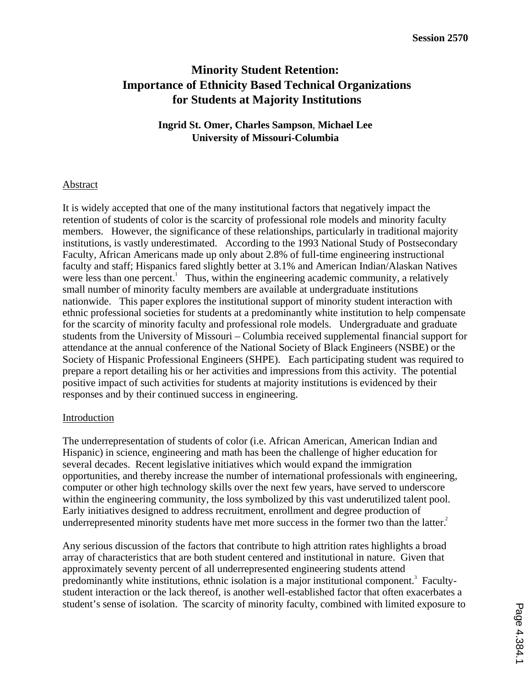# **Minority Student Retention: Importance of Ethnicity Based Technical Organizations for Students at Majority Institutions**

**Ingrid St. Omer, Charles Sampson**, **Michael Lee University of Missouri-Columbia**

# Abstract

It is widely accepted that one of the many institutional factors that negatively impact the retention of students of color is the scarcity of professional role models and minority faculty members. However, the significance of these relationships, particularly in traditional majority institutions, is vastly underestimated. According to the 1993 National Study of Postsecondary Faculty, African Americans made up only about 2.8% of full-time engineering instructional faculty and staff; Hispanics fared slightly better at 3.1% and American Indian/Alaskan Natives were less than one percent.<sup>1</sup> Thus, within the engineering academic community, a relatively small number of minority faculty members are available at undergraduate institutions nationwide. This paper explores the institutional support of minority student interaction with ethnic professional societies for students at a predominantly white institution to help compensate for the scarcity of minority faculty and professional role models. Undergraduate and graduate students from the University of Missouri – Columbia received supplemental financial support for attendance at the annual conference of the National Society of Black Engineers (NSBE) or the Society of Hispanic Professional Engineers (SHPE). Each participating student was required to prepare a report detailing his or her activities and impressions from this activity. The potential positive impact of such activities for students at majority institutions is evidenced by their responses and by their continued success in engineering.

# Introduction

The underrepresentation of students of color (i.e. African American, American Indian and Hispanic) in science, engineering and math has been the challenge of higher education for several decades. Recent legislative initiatives which would expand the immigration opportunities, and thereby increase the number of international professionals with engineering, computer or other high technology skills over the next few years, have served to underscore within the engineering community, the loss symbolized by this vast underutilized talent pool. Early initiatives designed to address recruitment, enrollment and degree production of underrepresented minority students have met more success in the former two than the latter.<sup>2</sup>

Any serious discussion of the factors that contribute to high attrition rates highlights a broad array of characteristics that are both student centered and institutional in nature. Given that approximately seventy percent of all underrepresented engineering students attend predominantly white institutions, ethnic isolation is a major institutional component.<sup>3</sup> Facultystudent interaction or the lack thereof, is another well-established factor that often exacerbates a student's sense of isolation. The scarcity of minority faculty, combined with limited exposure to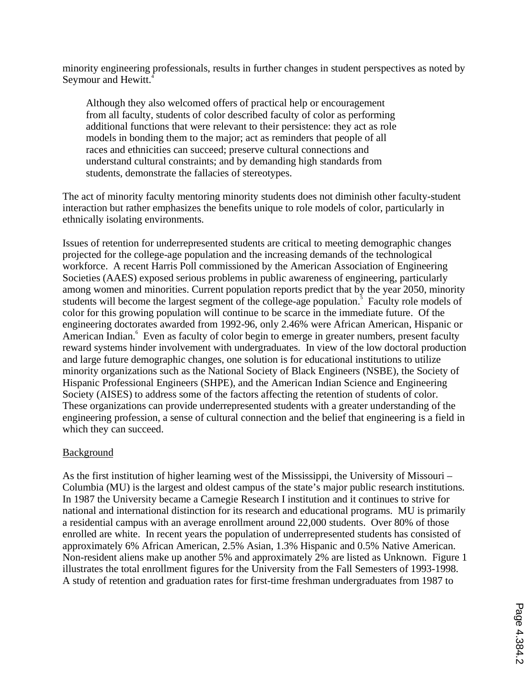minority engineering professionals, results in further changes in student perspectives as noted by Seymour and Hewitt.<sup>4</sup>

Although they also welcomed offers of practical help or encouragement from all faculty, students of color described faculty of color as performing additional functions that were relevant to their persistence: they act as role models in bonding them to the major; act as reminders that people of all races and ethnicities can succeed; preserve cultural connections and understand cultural constraints; and by demanding high standards from students, demonstrate the fallacies of stereotypes.

The act of minority faculty mentoring minority students does not diminish other faculty-student interaction but rather emphasizes the benefits unique to role models of color, particularly in ethnically isolating environments.

Issues of retention for underrepresented students are critical to meeting demographic changes projected for the college-age population and the increasing demands of the technological workforce. A recent Harris Poll commissioned by the American Association of Engineering Societies (AAES) exposed serious problems in public awareness of engineering, particularly among women and minorities. Current population reports predict that by the year 2050, minority students will become the largest segment of the college-age population.<sup>5</sup> Faculty role models of color for this growing population will continue to be scarce in the immediate future. Of the engineering doctorates awarded from 1992-96, only 2.46% were African American, Hispanic or American Indian.<sup>6</sup> Even as faculty of color begin to emerge in greater numbers, present faculty reward systems hinder involvement with undergraduates. In view of the low doctoral production and large future demographic changes, one solution is for educational institutions to utilize minority organizations such as the National Society of Black Engineers (NSBE), the Society of Hispanic Professional Engineers (SHPE), and the American Indian Science and Engineering Society (AISES) to address some of the factors affecting the retention of students of color. These organizations can provide underrepresented students with a greater understanding of the engineering profession, a sense of cultural connection and the belief that engineering is a field in which they can succeed.

# **Background**

As the first institution of higher learning west of the Mississippi, the University of Missouri – Columbia (MU) is the largest and oldest campus of the state's major public research institutions. In 1987 the University became a Carnegie Research I institution and it continues to strive for national and international distinction for its research and educational programs. MU is primarily a residential campus with an average enrollment around 22,000 students. Over 80% of those enrolled are white. In recent years the population of underrepresented students has consisted of approximately 6% African American, 2.5% Asian, 1.3% Hispanic and 0.5% Native American. Non-resident aliens make up another 5% and approximately 2% are listed as Unknown. Figure 1 illustrates the total enrollment figures for the University from the Fall Semesters of 1993-1998. A study of retention and graduation rates for first-time freshman undergraduates from 1987 to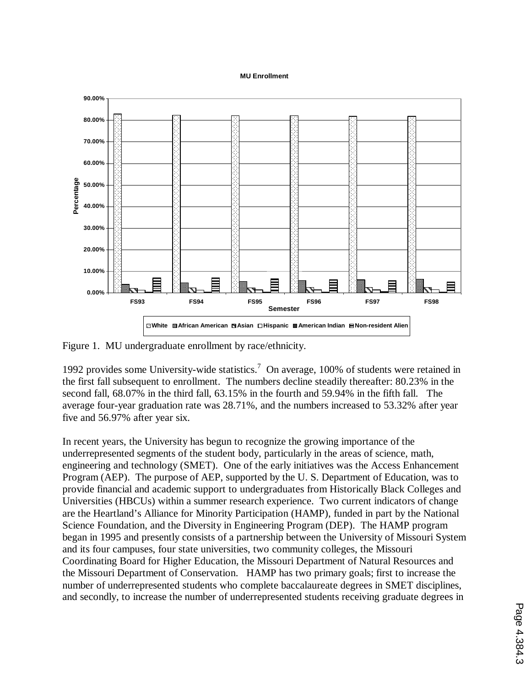#### **MU Enrollment**



Figure 1. MU undergraduate enrollment by race/ethnicity.

1992 provides some University-wide statistics.<sup>7</sup> On average, 100% of students were retained in the first fall subsequent to enrollment. The numbers decline steadily thereafter: 80.23% in the second fall, 68.07% in the third fall, 63.15% in the fourth and 59.94% in the fifth fall. The average four-year graduation rate was 28.71%, and the numbers increased to 53.32% after year five and 56.97% after year six.

In recent years, the University has begun to recognize the growing importance of the underrepresented segments of the student body, particularly in the areas of science, math, engineering and technology (SMET). One of the early initiatives was the Access Enhancement Program (AEP). The purpose of AEP, supported by the U. S. Department of Education, was to provide financial and academic support to undergraduates from Historically Black Colleges and Universities (HBCUs) within a summer research experience. Two current indicators of change are the Heartland's Alliance for Minority Participation (HAMP), funded in part by the National Science Foundation, and the Diversity in Engineering Program (DEP). The HAMP program began in 1995 and presently consists of a partnership between the University of Missouri System and its four campuses, four state universities, two community colleges, the Missouri Coordinating Board for Higher Education, the Missouri Department of Natural Resources and the Missouri Department of Conservation. HAMP has two primary goals; first to increase the number of underrepresented students who complete baccalaureate degrees in SMET disciplines, and secondly, to increase the number of underrepresented students receiving graduate degrees in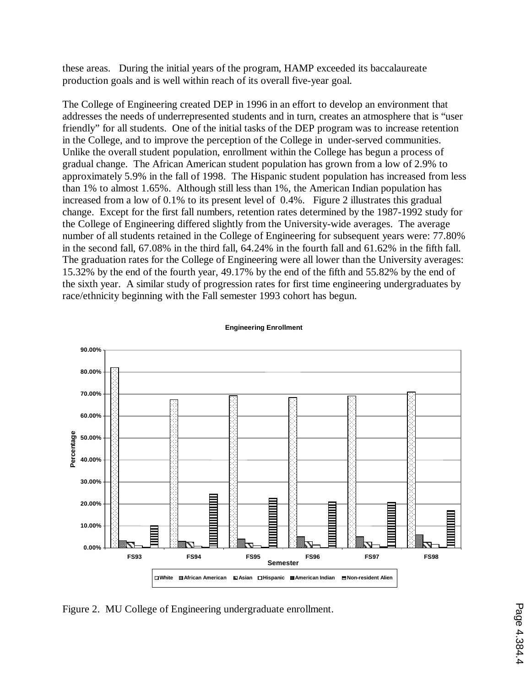these areas. During the initial years of the program, HAMP exceeded its baccalaureate production goals and is well within reach of its overall five-year goal.

The College of Engineering created DEP in 1996 in an effort to develop an environment that addresses the needs of underrepresented students and in turn, creates an atmosphere that is "user friendly" for all students. One of the initial tasks of the DEP program was to increase retention in the College, and to improve the perception of the College in under-served communities. Unlike the overall student population, enrollment within the College has begun a process of gradual change. The African American student population has grown from a low of 2.9% to approximately 5.9% in the fall of 1998. The Hispanic student population has increased from less than 1% to almost 1.65%. Although still less than 1%, the American Indian population has increased from a low of 0.1% to its present level of 0.4%. Figure 2 illustrates this gradual change. Except for the first fall numbers, retention rates determined by the 1987-1992 study for the College of Engineering differed slightly from the University-wide averages. The average number of all students retained in the College of Engineering for subsequent years were: 77.80% in the second fall, 67.08% in the third fall, 64.24% in the fourth fall and 61.62% in the fifth fall. The graduation rates for the College of Engineering were all lower than the University averages: 15.32% by the end of the fourth year, 49.17% by the end of the fifth and 55.82% by the end of the sixth year. A similar study of progression rates for first time engineering undergraduates by race/ethnicity beginning with the Fall semester 1993 cohort has begun.



**Engineering Enrollment**

Figure 2. MU College of Engineering undergraduate enrollment.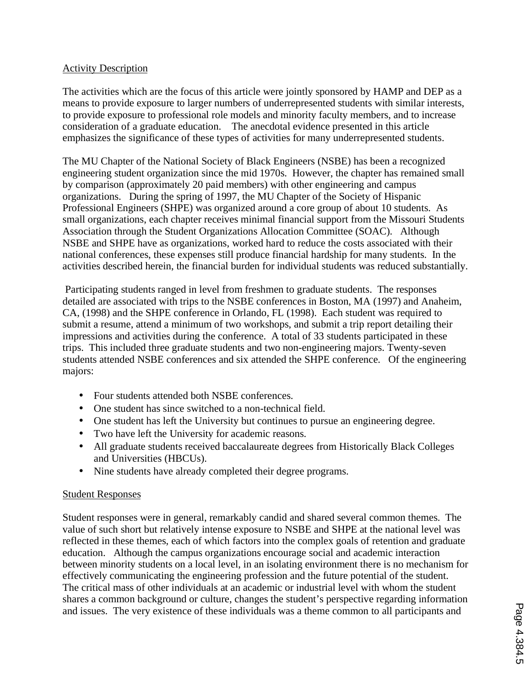# Activity Description

The activities which are the focus of this article were jointly sponsored by HAMP and DEP as a means to provide exposure to larger numbers of underrepresented students with similar interests, to provide exposure to professional role models and minority faculty members, and to increase consideration of a graduate education. The anecdotal evidence presented in this article emphasizes the significance of these types of activities for many underrepresented students.

The MU Chapter of the National Society of Black Engineers (NSBE) has been a recognized engineering student organization since the mid 1970s. However, the chapter has remained small by comparison (approximately 20 paid members) with other engineering and campus organizations. During the spring of 1997, the MU Chapter of the Society of Hispanic Professional Engineers (SHPE) was organized around a core group of about 10 students. As small organizations, each chapter receives minimal financial support from the Missouri Students Association through the Student Organizations Allocation Committee (SOAC). Although NSBE and SHPE have as organizations, worked hard to reduce the costs associated with their national conferences, these expenses still produce financial hardship for many students. In the activities described herein, the financial burden for individual students was reduced substantially.

 Participating students ranged in level from freshmen to graduate students. The responses detailed are associated with trips to the NSBE conferences in Boston, MA (1997) and Anaheim, CA, (1998) and the SHPE conference in Orlando, FL (1998). Each student was required to submit a resume, attend a minimum of two workshops, and submit a trip report detailing their impressions and activities during the conference. A total of 33 students participated in these trips. This included three graduate students and two non-engineering majors. Twenty-seven students attended NSBE conferences and six attended the SHPE conference. Of the engineering majors:

- Four students attended both NSBE conferences.
- One student has since switched to a non-technical field.
- One student has left the University but continues to pursue an engineering degree.
- Two have left the University for academic reasons.
- All graduate students received baccalaureate degrees from Historically Black Colleges and Universities (HBCUs).
- Nine students have already completed their degree programs.

# Student Responses

Student responses were in general, remarkably candid and shared several common themes. The value of such short but relatively intense exposure to NSBE and SHPE at the national level was reflected in these themes, each of which factors into the complex goals of retention and graduate education. Although the campus organizations encourage social and academic interaction between minority students on a local level, in an isolating environment there is no mechanism for effectively communicating the engineering profession and the future potential of the student. The critical mass of other individuals at an academic or industrial level with whom the student shares a common background or culture, changes the student's perspective regarding information and issues. The very existence of these individuals was a theme common to all participants and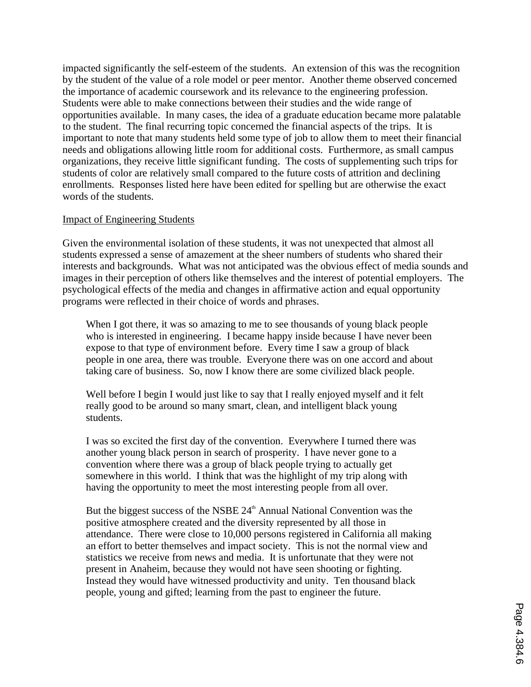impacted significantly the self-esteem of the students. An extension of this was the recognition by the student of the value of a role model or peer mentor. Another theme observed concerned the importance of academic coursework and its relevance to the engineering profession. Students were able to make connections between their studies and the wide range of opportunities available. In many cases, the idea of a graduate education became more palatable to the student. The final recurring topic concerned the financial aspects of the trips. It is important to note that many students held some type of job to allow them to meet their financial needs and obligations allowing little room for additional costs. Furthermore, as small campus organizations, they receive little significant funding. The costs of supplementing such trips for students of color are relatively small compared to the future costs of attrition and declining enrollments. Responses listed here have been edited for spelling but are otherwise the exact words of the students.

### Impact of Engineering Students

Given the environmental isolation of these students, it was not unexpected that almost all students expressed a sense of amazement at the sheer numbers of students who shared their interests and backgrounds. What was not anticipated was the obvious effect of media sounds and images in their perception of others like themselves and the interest of potential employers. The psychological effects of the media and changes in affirmative action and equal opportunity programs were reflected in their choice of words and phrases.

When I got there, it was so amazing to me to see thousands of young black people who is interested in engineering. I became happy inside because I have never been expose to that type of environment before. Every time I saw a group of black people in one area, there was trouble. Everyone there was on one accord and about taking care of business. So, now I know there are some civilized black people.

Well before I begin I would just like to say that I really enjoyed myself and it felt really good to be around so many smart, clean, and intelligent black young students.

I was so excited the first day of the convention. Everywhere I turned there was another young black person in search of prosperity. I have never gone to a convention where there was a group of black people trying to actually get somewhere in this world. I think that was the highlight of my trip along with having the opportunity to meet the most interesting people from all over.

But the biggest success of the NSBE  $24<sup>th</sup>$  Annual National Convention was the positive atmosphere created and the diversity represented by all those in attendance. There were close to 10,000 persons registered in California all making an effort to better themselves and impact society. This is not the normal view and statistics we receive from news and media. It is unfortunate that they were not present in Anaheim, because they would not have seen shooting or fighting. Instead they would have witnessed productivity and unity. Ten thousand black people, young and gifted; learning from the past to engineer the future.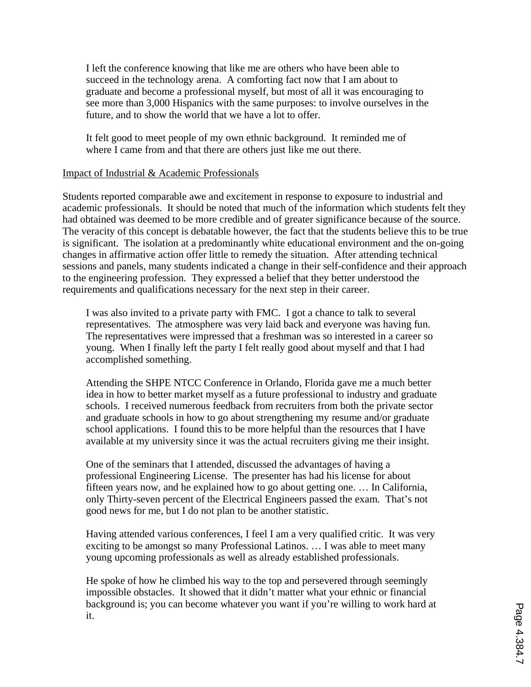I left the conference knowing that like me are others who have been able to succeed in the technology arena. A comforting fact now that I am about to graduate and become a professional myself, but most of all it was encouraging to see more than 3,000 Hispanics with the same purposes: to involve ourselves in the future, and to show the world that we have a lot to offer.

It felt good to meet people of my own ethnic background. It reminded me of where I came from and that there are others just like me out there.

### Impact of Industrial & Academic Professionals

Students reported comparable awe and excitement in response to exposure to industrial and academic professionals. It should be noted that much of the information which students felt they had obtained was deemed to be more credible and of greater significance because of the source. The veracity of this concept is debatable however, the fact that the students believe this to be true is significant. The isolation at a predominantly white educational environment and the on-going changes in affirmative action offer little to remedy the situation. After attending technical sessions and panels, many students indicated a change in their self-confidence and their approach to the engineering profession. They expressed a belief that they better understood the requirements and qualifications necessary for the next step in their career.

I was also invited to a private party with FMC. I got a chance to talk to several representatives. The atmosphere was very laid back and everyone was having fun. The representatives were impressed that a freshman was so interested in a career so young. When I finally left the party I felt really good about myself and that I had accomplished something.

Attending the SHPE NTCC Conference in Orlando, Florida gave me a much better idea in how to better market myself as a future professional to industry and graduate schools. I received numerous feedback from recruiters from both the private sector and graduate schools in how to go about strengthening my resume and/or graduate school applications. I found this to be more helpful than the resources that I have available at my university since it was the actual recruiters giving me their insight.

One of the seminars that I attended, discussed the advantages of having a professional Engineering License. The presenter has had his license for about fifteen years now, and he explained how to go about getting one. … In California, only Thirty-seven percent of the Electrical Engineers passed the exam. That's not good news for me, but I do not plan to be another statistic.

Having attended various conferences, I feel I am a very qualified critic. It was very exciting to be amongst so many Professional Latinos. … I was able to meet many young upcoming professionals as well as already established professionals.

He spoke of how he climbed his way to the top and persevered through seemingly impossible obstacles. It showed that it didn't matter what your ethnic or financial background is; you can become whatever you want if you're willing to work hard at it.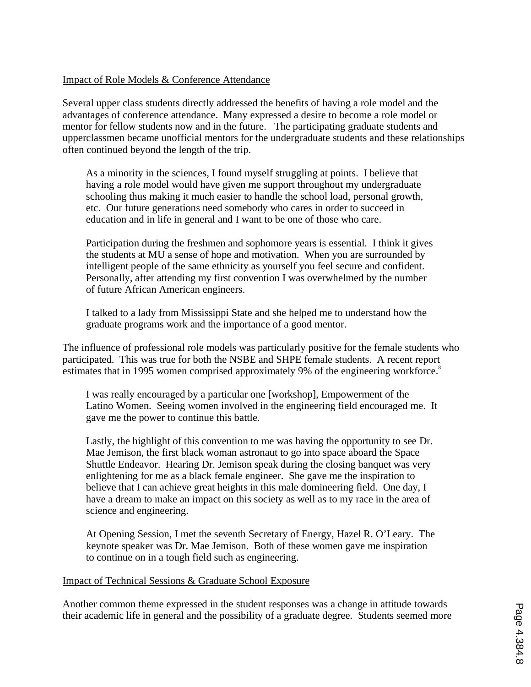# Impact of Role Models & Conference Attendance

Several upper class students directly addressed the benefits of having a role model and the advantages of conference attendance. Many expressed a desire to become a role model or mentor for fellow students now and in the future. The participating graduate students and upperclassmen became unofficial mentors for the undergraduate students and these relationships often continued beyond the length of the trip.

As a minority in the sciences, I found myself struggling at points. I believe that having a role model would have given me support throughout my undergraduate schooling thus making it much easier to handle the school load, personal growth, etc. Our future generations need somebody who cares in order to succeed in education and in life in general and I want to be one of those who care.

Participation during the freshmen and sophomore years is essential. I think it gives the students at MU a sense of hope and motivation. When you are surrounded by intelligent people of the same ethnicity as yourself you feel secure and confident. Personally, after attending my first convention I was overwhelmed by the number of future African American engineers.

I talked to a lady from Mississippi State and she helped me to understand how the graduate programs work and the importance of a good mentor.

The influence of professional role models was particularly positive for the female students who participated. This was true for both the NSBE and SHPE female students. A recent report estimates that in 1995 women comprised approximately 9% of the engineering workforce.<sup>8</sup>

I was really encouraged by a particular one [workshop], Empowerment of the Latino Women. Seeing women involved in the engineering field encouraged me. It gave me the power to continue this battle.

Lastly, the highlight of this convention to me was having the opportunity to see Dr. Mae Jemison, the first black woman astronaut to go into space aboard the Space Shuttle Endeavor. Hearing Dr. Jemison speak during the closing banquet was very enlightening for me as a black female engineer. She gave me the inspiration to believe that I can achieve great heights in this male domineering field. One day, I have a dream to make an impact on this society as well as to my race in the area of science and engineering.

At Opening Session, I met the seventh Secretary of Energy, Hazel R. O'Leary. The keynote speaker was Dr. Mae Jemison. Both of these women gave me inspiration to continue on in a tough field such as engineering.

### Impact of Technical Sessions & Graduate School Exposure

Another common theme expressed in the student responses was a change in attitude towards their academic life in general and the possibility of a graduate degree. Students seemed more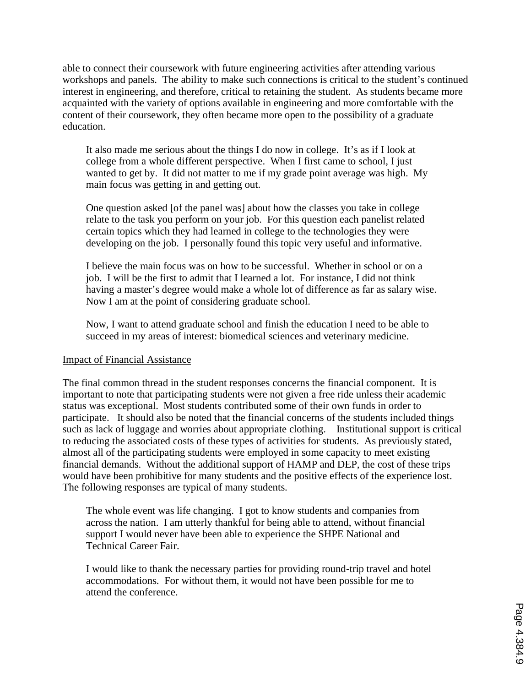able to connect their coursework with future engineering activities after attending various workshops and panels. The ability to make such connections is critical to the student's continued interest in engineering, and therefore, critical to retaining the student. As students became more acquainted with the variety of options available in engineering and more comfortable with the content of their coursework, they often became more open to the possibility of a graduate education.

It also made me serious about the things I do now in college. It's as if I look at college from a whole different perspective. When I first came to school, I just wanted to get by. It did not matter to me if my grade point average was high. My main focus was getting in and getting out.

One question asked [of the panel was] about how the classes you take in college relate to the task you perform on your job. For this question each panelist related certain topics which they had learned in college to the technologies they were developing on the job. I personally found this topic very useful and informative.

I believe the main focus was on how to be successful. Whether in school or on a job. I will be the first to admit that I learned a lot. For instance, I did not think having a master's degree would make a whole lot of difference as far as salary wise. Now I am at the point of considering graduate school.

Now, I want to attend graduate school and finish the education I need to be able to succeed in my areas of interest: biomedical sciences and veterinary medicine.

### Impact of Financial Assistance

The final common thread in the student responses concerns the financial component. It is important to note that participating students were not given a free ride unless their academic status was exceptional. Most students contributed some of their own funds in order to participate. It should also be noted that the financial concerns of the students included things such as lack of luggage and worries about appropriate clothing. Institutional support is critical to reducing the associated costs of these types of activities for students. As previously stated, almost all of the participating students were employed in some capacity to meet existing financial demands. Without the additional support of HAMP and DEP, the cost of these trips would have been prohibitive for many students and the positive effects of the experience lost. The following responses are typical of many students.

The whole event was life changing. I got to know students and companies from across the nation. I am utterly thankful for being able to attend, without financial support I would never have been able to experience the SHPE National and Technical Career Fair.

I would like to thank the necessary parties for providing round-trip travel and hotel accommodations. For without them, it would not have been possible for me to attend the conference.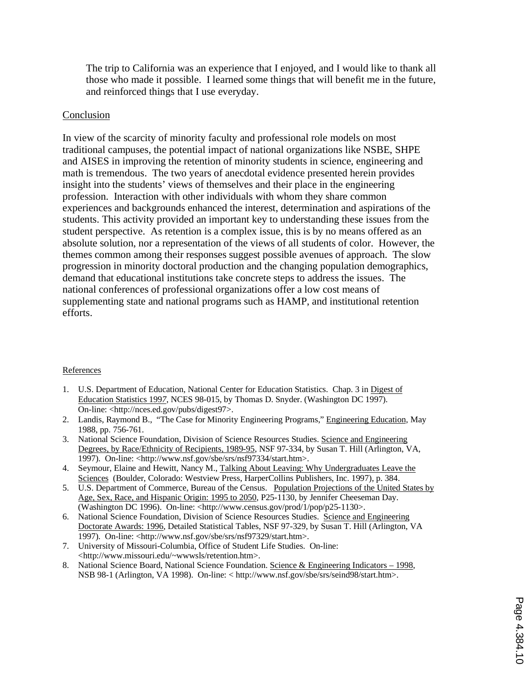The trip to California was an experience that I enjoyed, and I would like to thank all those who made it possible. I learned some things that will benefit me in the future, and reinforced things that I use everyday.

### Conclusion

In view of the scarcity of minority faculty and professional role models on most traditional campuses, the potential impact of national organizations like NSBE, SHPE and AISES in improving the retention of minority students in science, engineering and math is tremendous. The two years of anecdotal evidence presented herein provides insight into the students' views of themselves and their place in the engineering profession. Interaction with other individuals with whom they share common experiences and backgrounds enhanced the interest, determination and aspirations of the students. This activity provided an important key to understanding these issues from the student perspective. As retention is a complex issue, this is by no means offered as an absolute solution, nor a representation of the views of all students of color. However, the themes common among their responses suggest possible avenues of approach. The slow progression in minority doctoral production and the changing population demographics, demand that educational institutions take concrete steps to address the issues. The national conferences of professional organizations offer a low cost means of supplementing state and national programs such as HAMP, and institutional retention efforts.

### References

- 1. U.S. Department of Education, National Center for Education Statistics. Chap. 3 in Digest of Education Statistics 199*7*, NCES 98-015, by Thomas D. Snyder. (Washington DC 1997). On-line: <http://nces.ed.gov/pubs/digest97>.
- 2. Landis, Raymond B., "The Case for Minority Engineering Programs," Engineering Education*,* May 1988, pp. 756-761.
- 3. National Science Foundation, Division of Science Resources Studies. Science and Engineering Degrees, by Race/Ethnicity of Recipients, 1989-95, NSF 97-334, by Susan T. Hill (Arlington, VA, 1997). On-line: <http://www.nsf.gov/sbe/srs/nsf97334/start.htm>.
- 4. Seymour, Elaine and Hewitt, Nancy M., Talking About Leaving: Why Undergraduates Leave the Sciences (Boulder, Colorado: Westview Press, HarperCollins Publishers, Inc. 1997), p. 384.
- 5. U.S. Department of Commerce, Bureau of the Census. Population Projections of the United States by Age, Sex, Race, and Hispanic Origin: 1995 to 2050, P25-1130, by Jennifer Cheeseman Day. (Washington DC 1996). On-line: <http://www.census.gov/prod/1/pop/p25-1130>.
- 6. National Science Foundation, Division of Science Resources Studies. Science and Engineering Doctorate Awards: 1996, Detailed Statistical Tables, NSF 97-329, by Susan T. Hill (Arlington, VA 1997). On-line: <http://www.nsf.gov/sbe/srs/nsf97329/start.htm>.
- 7. University of Missouri-Columbia, Office of Student Life Studies. On-line: <http://www.missouri.edu/~wwwsls/retention.htm>.
- 8. National Science Board, National Science Foundation. Science & Engineering Indicators 1998, NSB 98-1 (Arlington, VA 1998). On-line: < http://www.nsf.gov/sbe/srs/seind98/start.htm>.